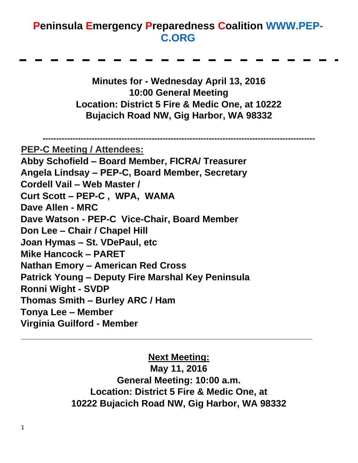## **Peninsula Emergency Preparedness Coalition [WWW.PEP-](http://www.pep-c.org/)[C.ORG](http://www.pep-c.org/)**

**Minutes for - Wednesday April 13, 2016 10:00 General Meeting Location: District 5 Fire & Medic One, at 10222 Bujacich Road NW, Gig Harbor, WA 98332** 

**---------------------------------------------------------------------------------------------------- PEP-C Meeting / Attendees: Abby Schofield – Board Member, FICRA/ Treasurer Angela Lindsay – PEP-C, Board Member, Secretary Cordell Vail – Web Master / Curt Scott – PEP-C , WPA, WAMA Dave Allen - MRC Dave Watson - PEP-C Vice-Chair, Board Member Don Lee – Chair / Chapel Hill Joan Hymas – St. VDePaul, etc Mike Hancock – PARET Nathan Emory – American Red Cross Patrick Young – Deputy Fire Marshal Key Peninsula Ronni Wight - SVDP Thomas Smith – Burley ARC / Ham Tonya Lee – Member Virginia Guilford - Member \_\_\_\_\_\_\_\_\_\_\_\_\_\_\_\_\_\_\_\_\_\_\_\_\_\_\_\_\_\_\_\_\_\_\_\_\_\_\_\_\_\_\_\_\_\_\_\_\_\_\_\_\_\_\_\_**

#### **Next Meeting:**

**May 11, 2016 General Meeting: 10:00 a.m. Location: District 5 Fire & Medic One, at 10222 Bujacich Road NW, Gig Harbor, WA 98332**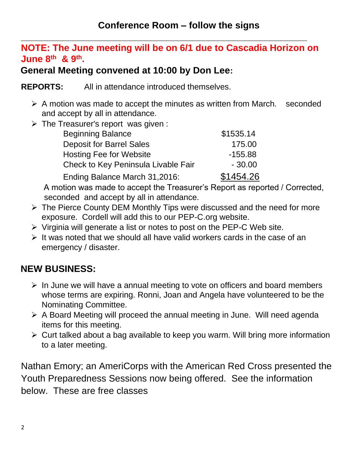#### **\_\_\_\_\_\_\_\_\_\_\_\_\_\_\_\_\_\_\_\_\_\_\_\_\_\_\_\_\_\_\_\_\_\_\_\_\_\_\_\_\_\_\_\_\_\_\_\_\_\_\_\_\_\_\_ NOTE: The June meeting will be on 6/1 due to Cascadia Horizon on June 8th & 9th .**

### **General Meeting convened at 10:00 by Don Lee:**

**REPORTS:** All in attendance introduced themselves.

- ➢ A motion was made to accept the minutes as written from March. seconded and accept by all in attendance.
- $\triangleright$  The Treasurer's report was given :

| <b>Beginning Balance</b>            | \$1535.14 |
|-------------------------------------|-----------|
| <b>Deposit for Barrel Sales</b>     | 175.00    |
| <b>Hosting Fee for Website</b>      | $-155.88$ |
| Check to Key Peninsula Livable Fair | $-30.00$  |
| Ending Balance March 31,2016:       | \$1454.26 |

A motion was made to accept the Treasurer's Report as reported / Corrected, seconded and accept by all in attendance.

- ➢ The Pierce County DEM Monthly Tips were discussed and the need for more exposure. Cordell will add this to our PEP-C.org website.
- ➢ Virginia will generate a list or notes to post on the PEP-C Web site.
- $\triangleright$  It was noted that we should all have valid workers cards in the case of an emergency / disaster.

## **NEW BUSINESS:**

- ➢ In June we will have a annual meeting to vote on officers and board members whose terms are expiring. Ronni, Joan and Angela have volunteered to be the Nominating Committee.
- ➢ A Board Meeting will proceed the annual meeting in June. Will need agenda items for this meeting.
- ➢ Curt talked about a bag available to keep you warm. Will bring more information to a later meeting.

Nathan Emory; an AmeriCorps with the American Red Cross presented the Youth Preparedness Sessions now being offered. See the information below. These are free classes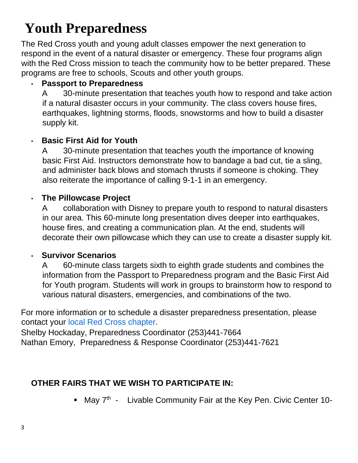# **Youth Preparedness**

The Red Cross youth and young adult classes empower the next generation to respond in the event of a natural disaster or emergency. These four programs align with the Red Cross mission to teach the community how to be better prepared. These programs are free to schools, Scouts and other youth groups.

#### • **Passport to Preparedness**

A 30-minute presentation that teaches youth how to respond and take action if a natural disaster occurs in your community. The class covers house fires, earthquakes, lightning storms, floods, snowstorms and how to build a disaster supply kit.

#### • **Basic First Aid for Youth**

A 30-minute presentation that teaches youth the importance of knowing basic First Aid. Instructors demonstrate how to bandage a bad cut, tie a sling, and administer back blows and stomach thrusts if someone is choking. They also reiterate the importance of calling 9-1-1 in an emergency.

#### • **The Pillowcase Project**

A collaboration with Disney to prepare youth to respond to natural disasters in our area. This 60-minute long presentation dives deeper into earthquakes, house fires, and creating a communication plan. At the end, students will decorate their own pillowcase which they can use to create a disaster supply kit.

#### • **Survivor Scenarios**

A 60-minute class targets sixth to eighth grade students and combines the information from the Passport to Preparedness program and the Basic First Aid for Youth program. Students will work in groups to brainstorm how to respond to various natural disasters, emergencies, and combinations of the two.

For more information or to schedule a disaster preparedness presentation, please contact your [local Red Cross chapter.](http://www.redcross.org/local/wa/northwestregion/chapters) 

Shelby Hockaday, Preparedness Coordinator (253)441-7664 Nathan Emory, Preparedness & Response Coordinator (253)441-7621

#### **OTHER FAIRS THAT WE WISH TO PARTICIPATE IN:**

• May 7<sup>th</sup> - Livable Community Fair at the Key Pen. Civic Center 10-